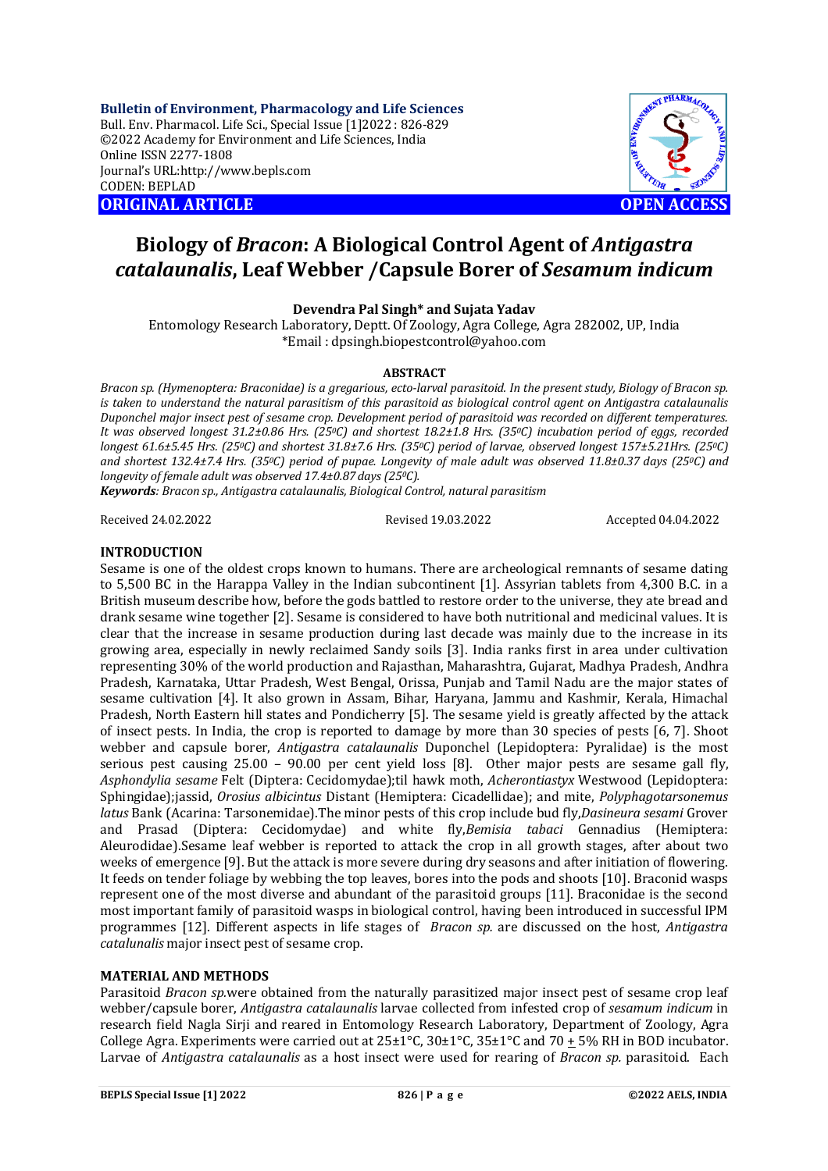**Bulletin of Environment, Pharmacology and Life Sciences** Bull. Env. Pharmacol. Life Sci., Special Issue [1]2022 : 826-829 ©2022 Academy for Environment and Life Sciences, India Online ISSN 2277-1808 Journal's URL:<http://www.bepls.com> CODEN: BEPLAD **ORIGINAL ARTICLE OPEN ACCESS** 

# **Biology of** *Bracon***: A Biological Control Agent of** *Antigastra catalaunalis***, Leaf Webber /Capsule Borer of** *Sesamum indicum*

# **Devendra Pal Singh\* and Sujata Yadav**

Entomology Research Laboratory, Deptt. Of Zoology, Agra College, Agra 282002, UP, India \*Email : [dpsingh.biopestcontrol@yahoo.com](mailto:dpsingh.biopestcontrol@yahoo.com)

#### **ABSTRACT**

*Bracon sp. (Hymenoptera: Braconidae) is a gregarious, ecto-larval parasitoid. In the present study, Biology of Bracon sp. is taken to understand the natural parasitism of this parasitoid as biological control agent on Antigastra catalaunalis Duponchel major insect pest of sesame crop. Development period of parasitoid was recorded on different temperatures. It was observed longest 31.2±0.86 Hrs. (250C) and shortest 18.2±1.8 Hrs. (350C) incubation period of eggs, recorded longest 61.6±5.45 Hrs. (250C) and shortest 31.8±7.6 Hrs. (350C) period of larvae, observed longest 157±5.21Hrs. (250C) and shortest 132.4±7.4 Hrs. (350C) period of pupae. Longevity of male adult was observed 11.8±0.37 days (250C) and longevity of female adult was observed 17.4±0.87 days (250C).*

*Keywords: Bracon sp., Antigastra catalaunalis, Biological Control, natural parasitism*

Received 24.02.2022 Revised 19.03.2022 Accepted 04.04.2022

### **INTRODUCTION**

Sesame is one of the oldest crops known to humans. There are archeological remnants of sesame dating to 5,500 BC in the Harappa Valley in the Indian subcontinent [1]. Assyrian tablets from 4,300 B.C. in a British museum describe how, before the gods battled to restore order to the universe, they ate bread and drank sesame wine together [2]. Sesame is considered to have both nutritional and medicinal values. It is clear that the increase in sesame production during last decade was mainly due to the increase in its growing area, especially in newly reclaimed Sandy soils [3]. India ranks first in area under cultivation representing 30% of the world production and Rajasthan, Maharashtra, Gujarat, Madhya Pradesh, Andhra Pradesh, Karnataka, Uttar Pradesh, West Bengal, Orissa, Punjab and Tamil Nadu are the major states of sesame cultivation [4]. It also grown in Assam, Bihar, Haryana, Jammu and Kashmir, Kerala, Himachal Pradesh, North Eastern hill states and Pondicherry [5]. The sesame yield is greatly affected by the attack of insect pests. In India, the crop is reported to damage by more than 30 species of pests [6, 7]. Shoot webber and capsule borer, *Antigastra catalaunalis* Duponchel (Lepidoptera: Pyralidae) is the most serious pest causing 25.00 – 90.00 per cent yield loss [8]. Other major pests are sesame gall fly, *Asphondylia sesame* Felt (Diptera: Cecidomydae);til hawk moth, *Acherontiastyx* Westwood (Lepidoptera: Sphingidae);jassid, *Orosius albicintus* Distant (Hemiptera: Cicadellidae); and mite, *Polyphagotarsonemus latus* Bank (Acarina: Tarsonemidae).The minor pests of this crop include bud fly,*Dasineura sesami* Grover and Prasad (Diptera: Cecidomydae) and white fly,*Bemisia tabaci* Gennadius (Hemiptera: Aleurodidae).Sesame leaf webber is reported to attack the crop in all growth stages, after about two weeks of emergence [9]. But the attack is more severe during dry seasons and after initiation of flowering. It feeds on tender foliage by webbing the top leaves, bores into the pods and shoots [10]. Braconid wasps represent one of the most diverse and abundant of the parasitoid groups [11]. Braconidae is the second most important family of parasitoid wasps in biological control, having been introduced in successful IPM programmes [12]. Different aspects in life stages of *Bracon sp.* are discussed on the host, *Antigastra catalunalis* major insect pest of sesame crop.

# **MATERIAL AND METHODS**

Parasitoid *Bracon sp.*were obtained from the naturally parasitized major insect pest of sesame crop leaf webber/capsule borer, *Antigastra catalaunalis* larvae collected from infested crop of *sesamum indicum* in research field Nagla Sirji and reared in Entomology Research Laboratory, Department of Zoology, Agra College Agra. Experiments were carried out at  $25\pm1^{\circ}$ C,  $30\pm1^{\circ}$ C,  $35\pm1^{\circ}$ C and  $70\pm5\%$  RH in BOD incubator. Larvae of *Antigastra catalaunalis* as a host insect were used for rearing of *Bracon sp.* parasitoid. Each

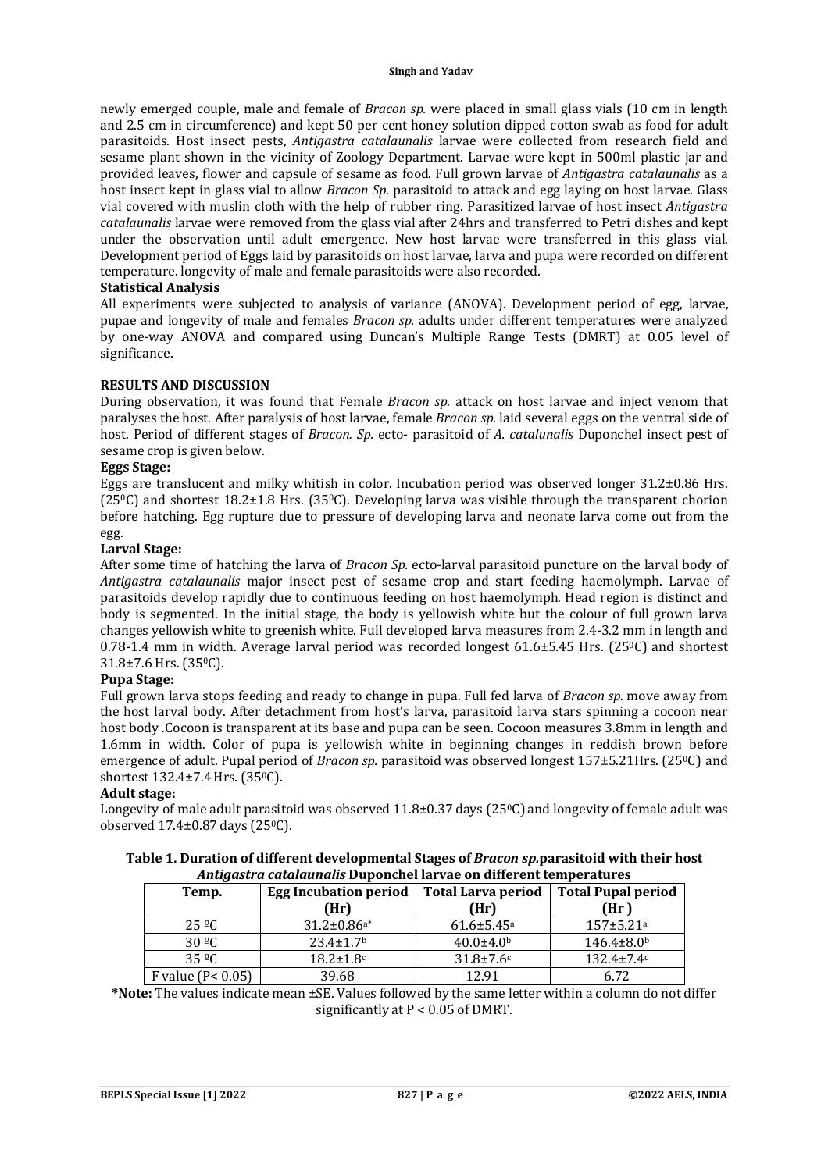newly emerged couple, male and female of *Bracon sp.* were placed in small glass vials (10 cm in length and 2.5 cm in circumference) and kept 50 per cent honey solution dipped cotton swab as food for adult parasitoids. Host insect pests, *Antigastra catalaunalis* larvae were collected from research field and sesame plant shown in the vicinity of Zoology Department. Larvae were kept in 500ml plastic jar and provided leaves, flower and capsule of sesame as food. Full grown larvae of *Antigastra catalaunalis* as a host insect kept in glass vial to allow *Bracon Sp*. parasitoid to attack and egg laying on host larvae. Glass vial covered with muslin cloth with the help of rubber ring. Parasitized larvae of host insect *Antigastra catalaunalis* larvae were removed from the glass vial after 24hrs and transferred to Petri dishes and kept under the observation until adult emergence. New host larvae were transferred in this glass vial. Development period of Eggs laid by parasitoids on host larvae, larva and pupa were recorded on different temperature. longevity of male and female parasitoids were also recorded.

# **Statistical Analysis**

All experiments were subjected to analysis of variance (ANOVA). Development period of egg, larvae, pupae and longevity of male and females *Bracon sp.* adults under different temperatures were analyzed by one-way ANOVA and compared using Duncan's Multiple Range Tests (DMRT) at 0.05 level of significance.

### **RESULTS AND DISCUSSION**

During observation, it was found that Female *Bracon sp.* attack on host larvae and inject venom that paralyses the host. After paralysis of host larvae, female *Bracon sp.* laid several eggs on the ventral side of host. Period of different stages of *Bracon. Sp.* ecto- parasitoid of *A. catalunalis* Duponchel insect pest of sesame crop is given below.

### **Eggs Stage:**

Eggs are translucent and milky whitish in color. Incubation period was observed longer 31.2±0.86 Hrs. (250C) and shortest 18.2±1.8 Hrs. (350C). Developing larva was visible through the transparent chorion before hatching. Egg rupture due to pressure of developing larva and neonate larva come out from the egg.

### **Larval Stage:**

After some time of hatching the larva of *Bracon Sp.* ecto-larval parasitoid puncture on the larval body of *Antigastra catalaunalis* major insect pest of sesame crop and start feeding haemolymph. Larvae of parasitoids develop rapidly due to continuous feeding on host haemolymph. Head region is distinct and body is segmented. In the initial stage, the body is yellowish white but the colour of full grown larva changes yellowish white to greenish white. Full developed larva measures from 2.4-3.2 mm in length and 0.78-1.4 mm in width. Average larval period was recorded longest  $61.6\pm5.45$  Hrs. (25 $\degree$ C) and shortest 31.8±7.6 Hrs. (350C).

# **Pupa Stage:**

Full grown larva stops feeding and ready to change in pupa. Full fed larva of *Bracon sp.* move away from the host larval body. After detachment from host's larva, parasitoid larva stars spinning a cocoon near host body .Cocoon is transparent at its base and pupa can be seen. Cocoon measures 3.8mm in length and 1.6mm in width. Color of pupa is yellowish white in beginning changes in reddish brown before emergence of adult. Pupal period of *Bracon sp.* parasitoid was observed longest 157±5.21Hrs. (25<sup>o</sup>C) and shortest 132.4±7.4 Hrs. (35<sup>0</sup>C).

#### **Adult stage:**

Longevity of male adult parasitoid was observed  $11.8\pm0.37$  days (25<sup>o</sup>C) and longevity of female adult was observed 17.4±0.87days (250C).

|                                                                    | Table 1. Duration of different developmental Stages of Bracon sp. parasitoid with their host |  |  |  |  |
|--------------------------------------------------------------------|----------------------------------------------------------------------------------------------|--|--|--|--|
| Antigastra catalaunalis Duponchel larvae on different temperatures |                                                                                              |  |  |  |  |
| Temp.                                                              | Egg Incubation period   Total Larva period   Total Pupal period                              |  |  |  |  |

| Temp.                        | Egg Incubation period         | Total Larva period           | Total Pupal period        |
|------------------------------|-------------------------------|------------------------------|---------------------------|
|                              | (Hr)                          | (Hr)                         | (Hr )                     |
| $25 \, {}^{\circ}\mathrm{C}$ | $31.2 \pm 0.86$ <sup>a*</sup> | $61.6 \pm 5.45$ <sup>a</sup> | $157 + 5.21$ <sup>a</sup> |
| 30 <sup>o</sup> C            | $23.4 \pm 1.7$ <sup>b</sup>   | $40.0 \pm 4.0^{\circ}$       | $146.4 \pm 8.0$           |
| 35 <sup>o</sup> C            | $18.2 \pm 1.8$ c              | $31.8 \pm 7.6$ c             | $132.4 \pm 7.4c$          |
| F value ( $P < 0.05$ )       | 39.68                         | 12.91                        | 6.72                      |

**\*Note:** The values indicate mean ±SE. Values followed by the same letter within a column do not differ significantly at P < 0.05 of DMRT.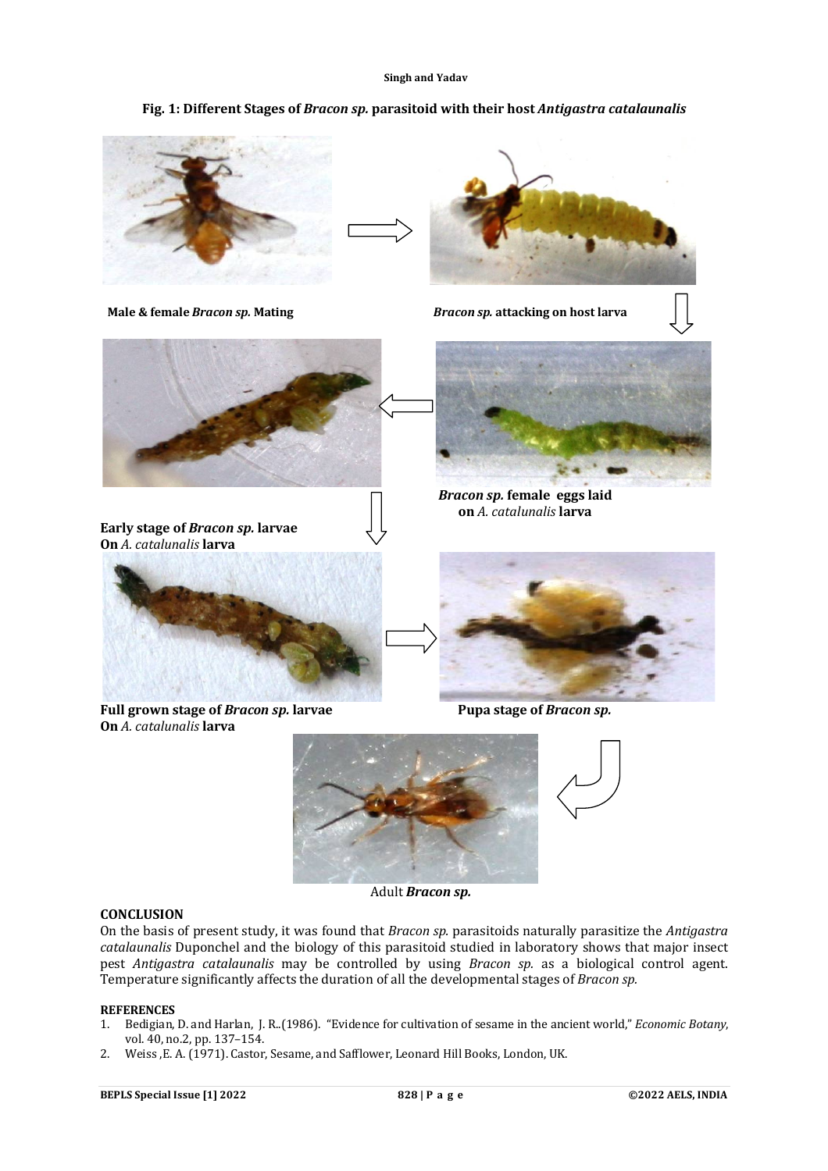#### **Singh and Yadav**

# **Fig. 1: Different Stages of** *Bracon sp.* **parasitoid with their host** *Antigastra catalaunalis*



 **Male & female** *Bracon sp.* **Mating** *Bracon sp.* **attacking on host larva**









Adult *Bracon sp.*

### **CONCLUSION**

On the basis of present study, it was found that *Bracon sp.* parasitoids naturally parasitize the *Antigastra catalaunalis* Duponchel and the biology of this parasitoid studied in laboratory shows that major insect pest *Antigastra catalaunalis* may be controlled by using *Bracon sp.* as a biological control agent. Temperature significantly affects the duration of all the developmental stages of *Bracon sp.*

#### **REFERENCES**

- 1. Bedigian, D. and Harlan, J. R..(1986). "Evidence for cultivation of sesame in the ancient world," *Economic Botany*, vol. 40, no.2, pp. 137–154.
- 2. Weiss ,E. A. (1971). Castor, Sesame, and Safflower, Leonard Hill Books, London, UK.